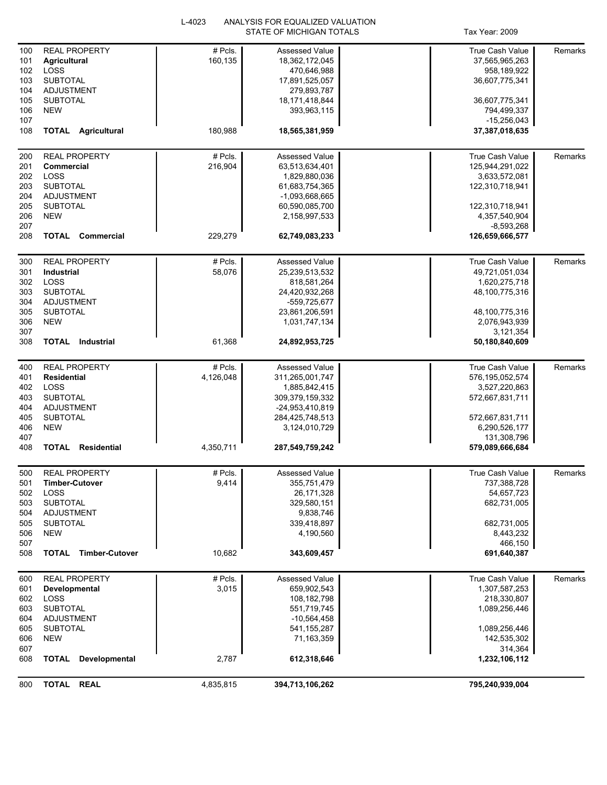|            |                                    | L-4023    | ANALYSIS FOR EQUALIZED VALUATION |                                 |         |
|------------|------------------------------------|-----------|----------------------------------|---------------------------------|---------|
|            |                                    |           | STATE OF MICHIGAN TOTALS         | Tax Year: 2009                  |         |
| 100        | <b>REAL PROPERTY</b>               | # Pcls.   | <b>Assessed Value</b>            | <b>True Cash Value</b>          | Remarks |
| 101        | <b>Agricultural</b>                | 160,135   | 18,362,172,045                   | 37,565,965,263                  |         |
| 102        | LOSS                               |           | 470,646,988                      | 958,189,922                     |         |
| 103        | <b>SUBTOTAL</b>                    |           |                                  | 36,607,775,341                  |         |
|            |                                    |           | 17,891,525,057                   |                                 |         |
| 104        | <b>ADJUSTMENT</b>                  |           | 279,893,787                      |                                 |         |
| 105        | <b>SUBTOTAL</b>                    |           | 18, 171, 418, 844                | 36,607,775,341                  |         |
| 106        | <b>NEW</b>                         |           | 393,963,115                      | 794,499,337                     |         |
| 107        |                                    |           |                                  | $-15,256,043$                   |         |
| 108        | <b>TOTAL Agricultural</b>          | 180,988   | 18,565,381,959                   | 37,387,018,635                  |         |
| 200        | <b>REAL PROPERTY</b>               | # Pcls.   | <b>Assessed Value</b>            | <b>True Cash Value</b>          | Remarks |
| 201        | Commercial                         | 216,904   | 63,513,634,401                   | 125,944,291,022                 |         |
| 202        | LOSS                               |           | 1,829,880,036                    | 3,633,572,081                   |         |
| 203        | <b>SUBTOTAL</b>                    |           | 61,683,754,365                   | 122,310,718,941                 |         |
|            |                                    |           |                                  |                                 |         |
| 204        | <b>ADJUSTMENT</b>                  |           | -1,093,668,665                   |                                 |         |
| 205        | <b>SUBTOTAL</b>                    |           | 60,590,085,700                   | 122,310,718,941                 |         |
| 206        | <b>NEW</b>                         |           | 2,158,997,533                    | 4,357,540,904                   |         |
| 207<br>208 | <b>TOTAL Commercial</b>            | 229,279   | 62,749,083,233                   | $-8,593,268$<br>126,659,666,577 |         |
|            |                                    |           |                                  |                                 |         |
| 300        | <b>REAL PROPERTY</b>               | # Pcls.   | <b>Assessed Value</b>            | True Cash Value                 | Remarks |
| 301        | Industrial                         | 58,076    | 25,239,513,532                   | 49,721,051,034                  |         |
| 302        | LOSS                               |           | 818,581,264                      | 1,620,275,718                   |         |
| 303        | <b>SUBTOTAL</b>                    |           | 24,420,932,268                   | 48,100,775,316                  |         |
| 304        | <b>ADJUSTMENT</b>                  |           | -559,725,677                     |                                 |         |
| 305        | <b>SUBTOTAL</b>                    |           | 23,861,206,591                   | 48,100,775,316                  |         |
| 306        | <b>NEW</b>                         |           | 1,031,747,134                    | 2,076,943,939                   |         |
| 307        |                                    |           |                                  | 3,121,354                       |         |
| 308        | <b>TOTAL</b> Industrial            | 61,368    | 24,892,953,725                   | 50,180,840,609                  |         |
|            |                                    |           |                                  |                                 |         |
| 400        | <b>REAL PROPERTY</b>               | # Pcls.   | Assessed Value                   | True Cash Value                 | Remarks |
| 401        | <b>Residential</b>                 | 4,126,048 | 311,265,001,747                  | 576, 195, 052, 574              |         |
| 402        | <b>LOSS</b>                        |           | 1,885,842,415                    | 3,527,220,863                   |         |
| 403        | <b>SUBTOTAL</b>                    |           | 309,379,159,332                  | 572,667,831,711                 |         |
| 404        | <b>ADJUSTMENT</b>                  |           | -24,953,410,819                  |                                 |         |
| 405        | <b>SUBTOTAL</b>                    |           | 284,425,748,513                  | 572,667,831,711                 |         |
| 406        | <b>NEW</b>                         |           | 3,124,010,729                    | 6,290,526,177                   |         |
| 407        |                                    |           |                                  | 131,308,796                     |         |
| 408        | <b>TOTAL</b><br><b>Residential</b> | 4,350,711 | 287,549,759,242                  | 579,089,666,684                 |         |
|            |                                    |           |                                  |                                 |         |
| 500        | <b>REAL PROPERTY</b>               | # Pcls.   | Assessed Value                   | True Cash Value                 | Remarks |
| 501        | <b>Timber-Cutover</b>              | 9,414     | 355,751,479                      | 737,388,728                     |         |
| 502        | LOSS                               |           | 26,171,328                       | 54,657,723                      |         |
| 503        | <b>SUBTOTAL</b>                    |           | 329,580,151                      | 682,731,005                     |         |
| 504        | ADJUSTMENT                         |           | 9,838,746                        |                                 |         |
| 505        | <b>SUBTOTAL</b>                    |           | 339,418,897                      | 682,731,005                     |         |
| 506        | <b>NEW</b>                         |           | 4,190,560                        | 8,443,232                       |         |
| 507        |                                    |           |                                  | 466,150                         |         |
| 508        | <b>TOTAL Timber-Cutover</b>        | 10,682    | 343,609,457                      | 691,640,387                     |         |
| 600        | <b>REAL PROPERTY</b>               | # Pcls.   | Assessed Value                   | True Cash Value                 | Remarks |
| 601        | Developmental                      | 3,015     | 659,902,543                      | 1,307,587,253                   |         |
| 602        | LOSS                               |           | 108,182,798                      | 218,330,807                     |         |
| 603        | <b>SUBTOTAL</b>                    |           | 551,719,745                      | 1,089,256,446                   |         |
| 604        | ADJUSTMENT                         |           | $-10,564,458$                    |                                 |         |
| 605        | <b>SUBTOTAL</b>                    |           |                                  | 1,089,256,446                   |         |
|            |                                    |           | 541, 155, 287                    |                                 |         |
| 606        | <b>NEW</b>                         |           | 71,163,359                       | 142,535,302                     |         |
| 607<br>608 | <b>TOTAL</b><br>Developmental      | 2,787     | 612,318,646                      | 314,364<br>1,232,106,112        |         |
|            |                                    |           |                                  |                                 |         |
| 800        | TOTAL REAL                         | 4,835,815 | 394,713,106,262                  | 795,240,939,004                 |         |